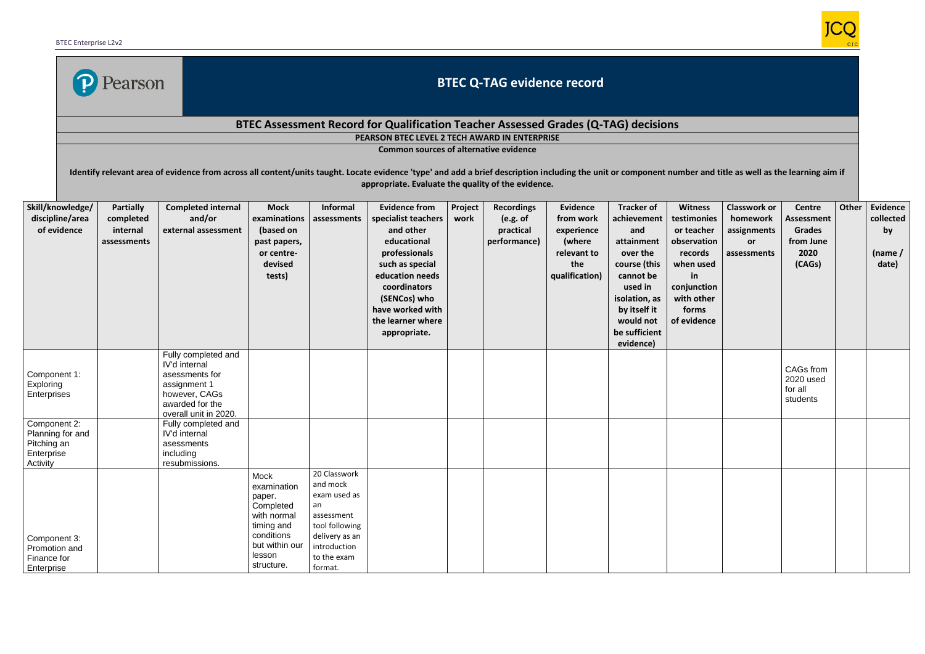

## **BTEC Q-TAG evidence record**

## **BTEC Assessment Record for Qualification Teacher Assessed Grades (Q-TAG) decisions**

**PEARSON BTEC LEVEL 2 TECH AWARD IN ENTERPRISE** 

**Common sources of alternative evidence**

Identify relevant area of evidence from across all content/units taught. Locate evidence 'type' and add a brief description including the unit or component number and title as well as the learning aim if **appropriate. Evaluate the quality of the evidence.**

| Skill/knowledge/<br>discipline/area<br>of evidence                        | <b>Partially</b><br>completed<br>internal<br>assessments | <b>Completed internal</b><br>and/or<br>external assessment                                                                          | <b>Mock</b><br>examinations<br>(based on<br>past papers,<br>or centre-<br>devised<br>tests)                                     | Informal<br>assessments                                                                                                                    | <b>Evidence from</b><br>specialist teachers<br>and other<br>educational<br>professionals<br>such as special<br>education needs<br>coordinators<br>(SENCos) who | Project<br>work | <b>Recordings</b><br>(e.g. of<br>practical<br>performance) | <b>Evidence</b><br>from work<br>experience<br>(where<br>relevant to<br>the<br>qualification) | <b>Tracker of</b><br>achievement<br>and<br>attainment<br>over the<br>course (this<br>cannot be<br>used in<br>isolation, as | <b>Witness</b><br>testimonies<br>or teacher<br>observation<br>records<br>when used<br>in<br>conjunction<br>with other | <b>Classwork or</b><br>homework<br>assignments<br>or<br>assessments | <b>Centre</b><br><b>Assessment</b><br>Grades<br>from June<br>2020<br>(CAGs) | Other | <b>Evidence</b><br>collected<br>by<br>(name $/$<br>date) |
|---------------------------------------------------------------------------|----------------------------------------------------------|-------------------------------------------------------------------------------------------------------------------------------------|---------------------------------------------------------------------------------------------------------------------------------|--------------------------------------------------------------------------------------------------------------------------------------------|----------------------------------------------------------------------------------------------------------------------------------------------------------------|-----------------|------------------------------------------------------------|----------------------------------------------------------------------------------------------|----------------------------------------------------------------------------------------------------------------------------|-----------------------------------------------------------------------------------------------------------------------|---------------------------------------------------------------------|-----------------------------------------------------------------------------|-------|----------------------------------------------------------|
|                                                                           |                                                          |                                                                                                                                     |                                                                                                                                 |                                                                                                                                            | have worked with<br>the learner where<br>appropriate.                                                                                                          |                 |                                                            |                                                                                              | by itself it<br>would not<br>be sufficient<br>evidence)                                                                    | forms<br>of evidence                                                                                                  |                                                                     |                                                                             |       |                                                          |
| Component 1:<br>Exploring<br>Enterprises                                  |                                                          | Fully completed and<br>IV'd internal<br>asessments for<br>assignment 1<br>however, CAGs<br>awarded for the<br>overall unit in 2020. |                                                                                                                                 |                                                                                                                                            |                                                                                                                                                                |                 |                                                            |                                                                                              |                                                                                                                            |                                                                                                                       |                                                                     | CAGs from<br>2020 used<br>for all<br>students                               |       |                                                          |
| Component 2:<br>Planning for and<br>Pitching an<br>Enterprise<br>Activity |                                                          | Fully completed and<br>IV'd internal<br>asessments<br>including<br>resubmissions.                                                   |                                                                                                                                 |                                                                                                                                            |                                                                                                                                                                |                 |                                                            |                                                                                              |                                                                                                                            |                                                                                                                       |                                                                     |                                                                             |       |                                                          |
| Component 3:<br>Promotion and<br>Finance for<br>Enterprise                |                                                          |                                                                                                                                     | Mock<br>examination<br>paper.<br>Completed<br>with normal<br>timing and<br>conditions<br>but within our<br>lesson<br>structure. | 20 Classwork<br>and mock<br>exam used as<br>an<br>assessment<br>tool following<br>delivery as an<br>introduction<br>to the exam<br>format. |                                                                                                                                                                |                 |                                                            |                                                                                              |                                                                                                                            |                                                                                                                       |                                                                     |                                                                             |       |                                                          |